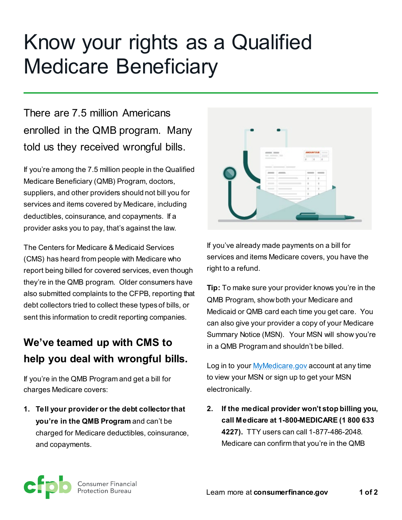# Know your rights as a Qualified Medicare Beneficiary

There are 7.5 million Americans enrolled in the QMB program. Many told us they received wrongful bills.

If you're among the 7.5 million people in the Qualified Medicare Beneficiary (QMB) Program, doctors, suppliers, and other providers should not bill you for services and items covered by Medicare, including deductibles, coinsurance, and copayments. If a provider asks you to pay, that's against the law.

The Centers for Medicare & Medicaid Services (CMS) has heard from people with Medicare who report being billed for covered services, even though they're in the QMB program. Older consumers have also submitted complaints to the CFPB, reporting that debt collectors tried to collect these types of bills, or sent this information to credit reporting companies.

# **We've teamed up with CMS to help you deal with wrongful bills.**

If you're in the QMB Program and get a bill for charges Medicare covers:

**1. Tell your provider or the debt collector that you're in the QMB Program** and can't be charged for Medicare deductibles, coinsurance, and copayments.



If you've already made payments on a bill for services and items Medicare covers, you have the right to a refund.

**Tip:** To make sure your provider knows you're in the QMB Program, show both your Medicare and Medicaid or QMB card each time you get care. You can also give your provider a copy of your Medicare Summary Notice (MSN). Your MSN will show you're in a QMB Program and shouldn't be billed.

Log in to your **My Medicare** gov account at any time to view your MSN or sign up to get your MSN electronically.

**2. If the medical provider won't stop billing you, call Medicare at 1-800-MEDICARE (1 800 633 4227).** TTY users can call 1-877-486-2048. Medicare can confirm that you're in the QMB